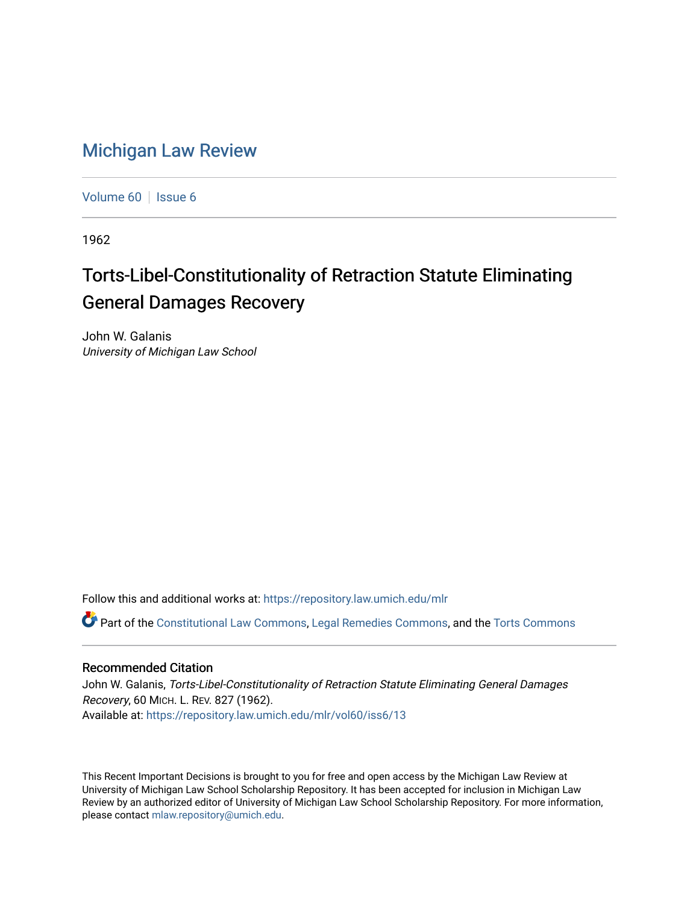## [Michigan Law Review](https://repository.law.umich.edu/mlr)

[Volume 60](https://repository.law.umich.edu/mlr/vol60) | [Issue 6](https://repository.law.umich.edu/mlr/vol60/iss6)

1962

## Torts-Libel-Constitutionality of Retraction Statute Eliminating General Damages Recovery

John W. Galanis University of Michigan Law School

Follow this and additional works at: [https://repository.law.umich.edu/mlr](https://repository.law.umich.edu/mlr?utm_source=repository.law.umich.edu%2Fmlr%2Fvol60%2Fiss6%2F13&utm_medium=PDF&utm_campaign=PDFCoverPages) 

Part of the [Constitutional Law Commons,](http://network.bepress.com/hgg/discipline/589?utm_source=repository.law.umich.edu%2Fmlr%2Fvol60%2Fiss6%2F13&utm_medium=PDF&utm_campaign=PDFCoverPages) [Legal Remedies Commons](http://network.bepress.com/hgg/discipline/618?utm_source=repository.law.umich.edu%2Fmlr%2Fvol60%2Fiss6%2F13&utm_medium=PDF&utm_campaign=PDFCoverPages), and the [Torts Commons](http://network.bepress.com/hgg/discipline/913?utm_source=repository.law.umich.edu%2Fmlr%2Fvol60%2Fiss6%2F13&utm_medium=PDF&utm_campaign=PDFCoverPages)

## Recommended Citation

John W. Galanis, Torts-Libel-Constitutionality of Retraction Statute Eliminating General Damages Recovery, 60 MICH. L. REV. 827 (1962). Available at: [https://repository.law.umich.edu/mlr/vol60/iss6/13](https://repository.law.umich.edu/mlr/vol60/iss6/13?utm_source=repository.law.umich.edu%2Fmlr%2Fvol60%2Fiss6%2F13&utm_medium=PDF&utm_campaign=PDFCoverPages) 

This Recent Important Decisions is brought to you for free and open access by the Michigan Law Review at University of Michigan Law School Scholarship Repository. It has been accepted for inclusion in Michigan Law Review by an authorized editor of University of Michigan Law School Scholarship Repository. For more information, please contact [mlaw.repository@umich.edu.](mailto:mlaw.repository@umich.edu)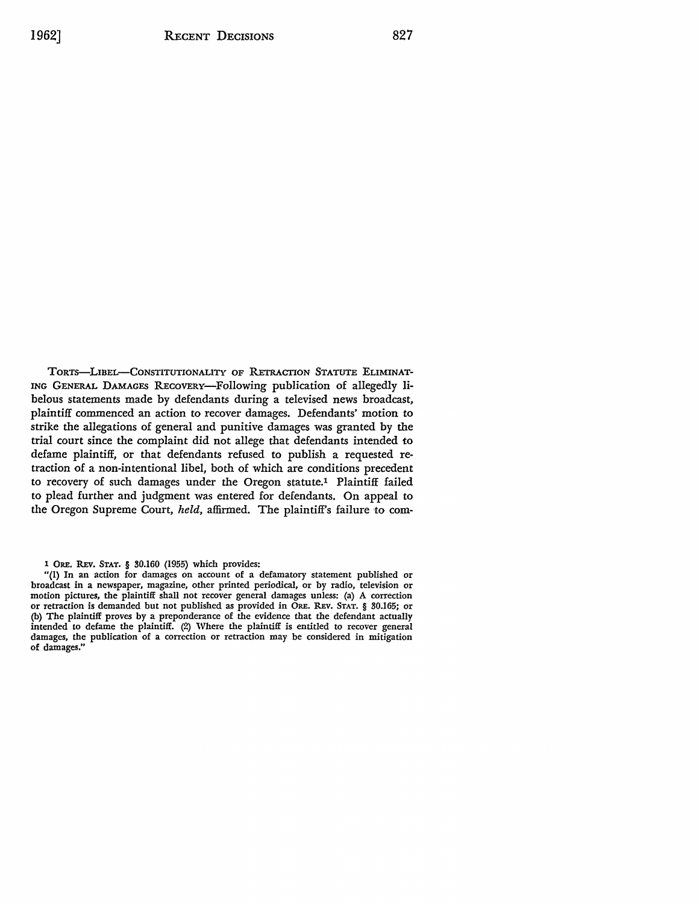TORTS-LIBEL-CONSTITUTIONALITY OF RETRACTION STATUTE ELIMINAT-ING GENERAL DAMAGES REcoVERY-Following publication of allegedly libelous statements made by defendants during a televised news broadcast, plaintiff commenced an action to recover damages. Defendants' motion to strike the allegations of general and punitive damages was granted by the trial court since the complaint did not allege that defendants intended to defame plaintiff, or that defendants refused to publish a requested retraction of a non-intentional libel, both of which are conditions precedent to recovery of such damages under the Oregon statute.1 Plaintiff failed to plead further and judgment was entered for defendants. On appeal to the Oregon Supreme Court, *held,* affirmed. The plaintiff's failure to com-

1 ORE. REv. STAT, § 30.160 (1955) which provides:

"(l) In an action for damages on account of a defamatory statement published or broadcast in a newspaper, magazine, other printed periodical, or by radio, television or motion pictures, the plaintiff shall not recover general damages unless: (a) A correction or retraction is demanded but not published as provided in ORE. REv. STAT. § 30.165; or (b) The plaintiff proves by a preponderance of the evidence that the defendant actually intended to defame the plaintiff. (2) Where the plaintiff is entitled to recover general damages, the publication of a correction or retraction may be considered in mitigation of damages."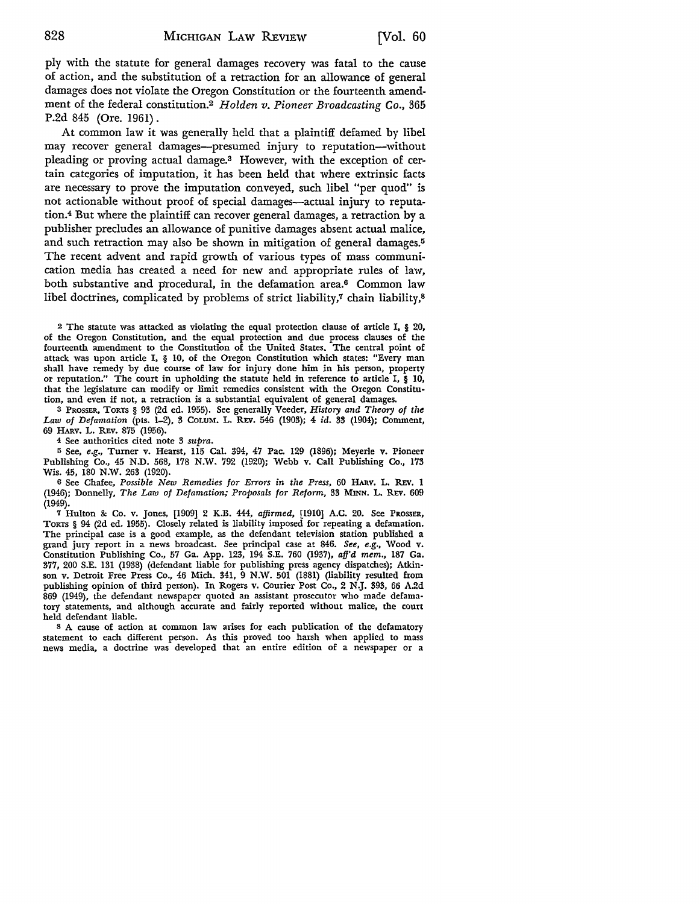ply with the statute for general damages recovery was fatal to the cause of action, and the substitution of a retraction for an allowance of general damages does not violate the Oregon Constitution or the fourteenth amendment of the federal constitution.2 *Holden v. Pioneer Broadcasting Co.,* 365 P.2d 845 (Ore. 1961).

At common law it was generally held that a plaintiff defamed by libel may recover general damages-presumed injury to reputation-without pleading or proving actual damage.3 However, with the exception of certain categories of imputation, it has been held that where extrinsic facts are necessary to prove the imputation conveyed, such libel "per quod" is not actionable without proof of special damages-actual injury to reputation.4 But where the plaintiff can recover general damages, a retraction by a publisher precludes an allowance of punitive damages absent actual malice, and such retraction may also be shown in mitigation of general damages.<sup>5</sup> The recent advent and rapid growth of various types of mass communication media has created a need for new and appropriate rules of law, both substantive and procedural, in the defamation area.<sup>6</sup> Common law libel doctrines, complicated by problems of strict liability,7 chain liability,<sup>8</sup>

<sup>2</sup>The statute was attacked as violating the equal protection clause of article I, § 20, of the Oregon Constitution, and the equal protection and due process clauses of the fourteenth amendment to the Constitution of the United States. The central point of attack was upon article I, § 10, of the Oregon Constitution which states: "Every man shall have remedy by due course of law for injury done him in his person, property or reputation." The court in upholding the statute held in reference to article I, § 10, that the legislature can modify or limit remedies consistent with the Oregon Constitution, and even if not, a retraction is a substantial equivalent of general damages.

3 PRossER, TORTS § 93 (2d ed. 1955). See generally Veeder, *History and Theory of the Law of Defamation* (pts. 1-2), 3 CoLuM. L. REv. 546 (1903); 4 id. 33 (1904); Comment, 69 HARV. L. REV. 875 (1956).

4 See authorities cited note 3 *supra.* 

<sup>5</sup>See, *e.g.,* Turner v. Hearst, 115 Cal. 394, 47 Pac. 129 (1896); Mcyerle v. Pioneer Publishing Co., 45 N.D. 568, 178 N.W. 792 (1920); Webb v. Call Publishing Co., 173 Wis. 45, 180 N.W. 263 (1920).

6 See Chafee, *Possible New Remedies for Errors in the Press,* 60 HARv. L. REv. 1 (1946); Donnelly, *The Law of Defamation; Proposals for Reform,* 33 MINN. L. REv. 609 (1949).

7 Hulton &: Co. v. Jones, [1909] 2 K.B. 444, *affirmed,* [1910] A.C. 20. Sec PROSSER, TORTS § 94 (2d ed. 1955). Closely related is liability imposed for repeating a defamation. The principal case is a good example, as the defendant television station published a grand jury report in a news broadcast. See principal case at 846. *See, e.g.,* W'ood v. Constitution Publishing Co., 57 Ga. App. 123, 194 S.E. 760 (1937), *afj'd mem.,* 187 Ga. 377, 200 S.E. 131 (1938) (defendant liable for publishing press agency dispatches); Atkinson v. Detroit Free Press Co., 46 Mich. 341, 9 N.W. 501 (1881) (liability resulted from publishing opinion of third person). In Rogers v. Courier Post Co., 2 **N.J.** 393, 66 A.2d 869 (1949), the defendant newspaper quoted an assistant prosecutor who made defamatory statements, and although accurate and fairly reported without malice, the court held defendant liable.

s A cause of action at common law arises for each publication of the defamatory statement to each different person. As this proved too harsh when applied to mass news media, a doctrine was developed that an entire edition of a newspaper or a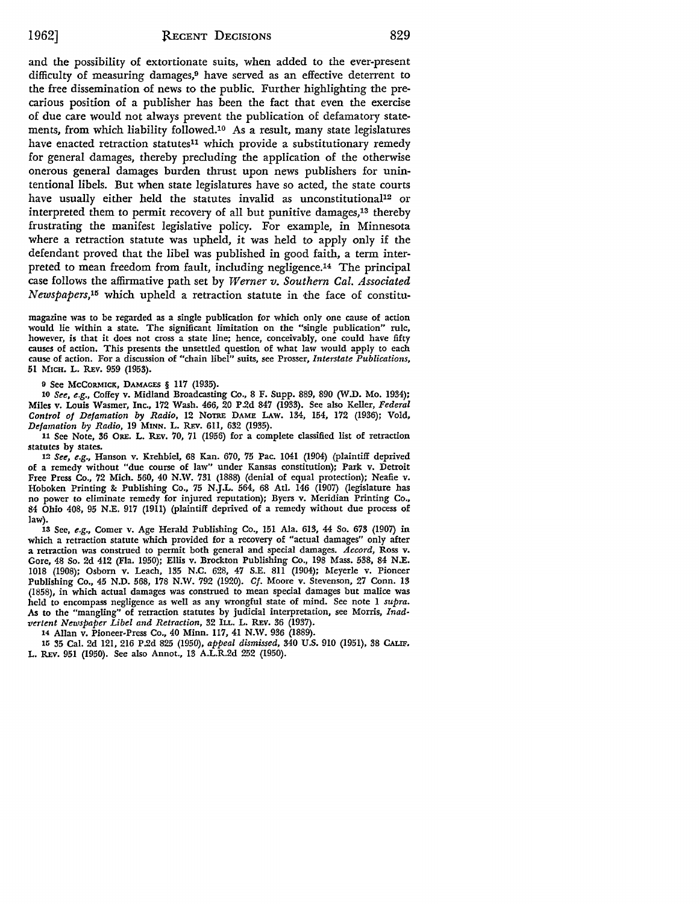and the possibility of extortionate suits, when added to the ever-present difficulty of measuring damages,9 have served as an effective deterrent to the free dissemination of news to the public. Further highlighting the precarious position of a publisher has been the fact that even the exercise of due care would not always prevent the publication of defamatory statements, from which liability followed.1° As a result, many state legislatures have enacted retraction statutes<sup>11</sup> which provide a substitutionary remedy for general damages, thereby precluding the application of the otherwise onerous general damages burden thrust upon news publishers for unintentional libels. But when state legislatures have so acted, the state courts have usually either held the statutes invalid as unconstitutional<sup>12</sup> or interpreted them to permit recovery of all but punitive damages,13 thereby frustrating the manifest legislative policy. For example, in Minnesota where a retraction statute was upheld, it was held to apply only if the defendant proved that the libel was published in good faith, a term interpreted to mean freedom from fault, including negligence.14 The principal case follows the affirmative path set by *Werner v. Southern Cal. Associated Newspapers, <sup>15</sup>*which upheld a retraction statute in •the face of constitu-

magazine was to be regarded as a single publication for which only one cause of action would lie within a state. The significant limitation on the "single publication" rule, however, is that it does not cross a state line; hence, conceivably, one could have fifty causes of action. This presents the unsettled question of what law would apply to each cause of action. For a discussion of "chain libel" suits, see Prosser, *Interstate Publications,*  51 MICH. L. REV. 959 (1953).

9 See McCORMICK, DAMAGES § 117 (1935).

10 *See, e.g.,* Coffey v. Midland Broadcasting Co., 8 F. Supp. 889, 890 *(W* .D. Mo. 1934); Miles v. Louis Wasmer, Inc., 172 Wash. 466, 20 P.2d 847 (1933). See also Keller, *Federal Control of Defamation by Radio,* 12 NoTRE DAME LAw. 134, 154, 172 (1936); Vold, *Defamation by Radio,* 19 MINN. L. R.Ev. 6Il, 632 (1935).

11 See Note, 36 ORE. L. REV. 70, 71 (1956) for a complete classified list of retraction statutes by states.

12 *See, e.g.,* Hanson v. Krehbiel, 68 Kan. 670, 75 Pac. 1041 (1904) (plaintiff deprived of a remedy without "due course of law" under Kansas constitution); Park v. Detroit Free Press Co., 72 Mich. 560, 40 N.W. 731 (1888) (denial of equal protection); Neafie v. Hoboken Printing &: Publishing Co., 75 N.J.L. 564, 68 Atl. 146 (1907) (legislature has no power to eliminate remedy for injured reputation); Byers v. Meridian Printing Co., 84 Ohio 408, 95 N.E. 917 (1911) (plaintiff deprived of a remedy without due process of law).

13 See, *e.g.,* Comer v. Age Herald Publishing Co., 151 Ala. 613, 44 So. 673 (1907) in which a retraction statute which provided for a recovery of "actual damages" only after a retraction was construed to permit both general and special damages. *Accord,* Ross v. Gore, 48 So. 2d 412 (Fla. 1950); Ellis v. Brockton Publishing Co., 198 Mass. 538, 84 N.E. 1018 (1908); Osborn v. Leach, 135 N.C. 628, 47 S.E. 811 (1904); Meyerle v. Pioneer Publishing Co., 45 N.D. 568, 178 N.W. 792 (1920). *Cf.* Moore v. Stevenson, 27 Conn. 13 (1858), in which actual damages was construed to mean special damages but malice was held to encompass negligence as well as any wrongful state of mind. See note 1 *supra. As* to the "mangling" of retraction statutes by judicial interpretation, see Morris, *Inad*vertent Newspaper Libel and Retraction, 32 ILL. L. REV. 36 (1937).

14 Allan v. Pioneer-Press Co., 40 Minn. 117, 41 N.W. 936 (1889).

15 35 Cal. 2d 121, 216 P.2d 825 (1950), *appeal dismissed,* 340 U.S. 910 (1951), 38 CALIF. L. REV. 951 (1950). See also Annot., 13 A.L.R.2d 252 (1950).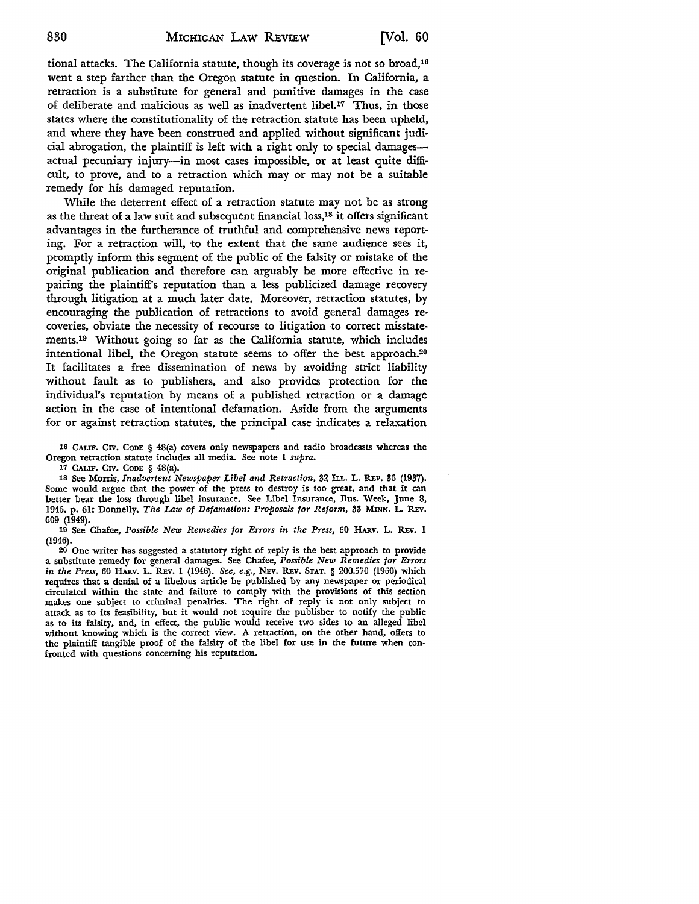tional attacks. The California statute, though its coverage is not so broad,16 went a step farther than the Oregon statute in question. In California, a retraction is a substitute for general and punitive damages in the case of deliberate and malicious as well as inadvertent libel.17 Thus, in those states where the constitutionality of the retraction statute has been upheld, and where they have been construed and applied without significant judicial abrogation, the plaintiff is left with a right only to special damagesactual pecuniary injury-in most cases impossible, or at least quite difficult, to prove, and to a retraction which may or may not be a suitable remedy for his damaged reputation.

While the deterrent effect of a retraction statute may not be as strong as the threat of a law suit and subsequent financial loss,18 it offers significant advantages in the furtherance of truthful and comprehensive news reporting. For a retraction will, to the extent that the same audience sees it, promptly inform this segment of the public of the falsity or mistake of the original publication and therefore can arguably be more effective in repairing the plaintiff's reputation than a less publicized damage recovery through litigation at a much later date. Moreover, retraction statutes, by encouraging the publication of retractions to avoid general damages recoveries, obviate the necessity of recourse to litigation to correct misstatements.19 Without going so far as the California statute, which includes intentional libel, the Oregon statute seems to offer the best approach.20 It facilitates a free dissemination of news by avoiding strict liability without fault as to publishers, and also provides protection for the individual's reputation by means of a published retraction or a damage action in the case of intentional defamation. Aside from the arguments for or against retraction statutes, the principal case indicates a relaxation

16 CALIF. CIV. CoDE § 48(a) covers only newspapers and radio broadcasts whereas the Oregon retraction statute includes all media. See note 1 *supra.* 

17 CALIF. CIV. CoDE § 48(a).

18 See Morris, *Inadvertent Newspaper Libel and Retraction*, 32 ILL. L. REV. 36 (1937). Some would argue that the power of the press to destroy is too great, and that it can better bear the loss through libel insurance. See Libel Insurance, Bus. Week, June 8, 1946, p. 61; Donnelly, The Law of Defamation: Proposals for Reform, 33 MINN. L. REV. 609 (1949).

19 See Chafee, *Possible New Remedies for Errors in the Press,* 60 HARv. L. R.Ev. **1**  (1946).

20 One writer has suggested a statutory right of reply is the best approach to provide a substitute remedy for general damages. See Chafee, *Possible New Remedies for Errors in the Press, 60 HARV. L. REV. 1 (1946). See, e.g., NEV. REV. STAT. § 200.570 (1960) which* requires that a denial of a libelous article be published by any newspaper or periodical circulated within the state and failure to comply with the provisions of this section makes one subject to criminal penalties. The right of reply is not only subject to attack as to its feasibility, but it would not require the publisher to notify the public as to its falsity, and, in effect, the public would receive two sides to an alleged libel without knowing which is the correct view. A retraction, on the other hand, offers to the plaintiff tangible proof of the falsity of the libel for use in the future when confronted with questions concerning his reputation.